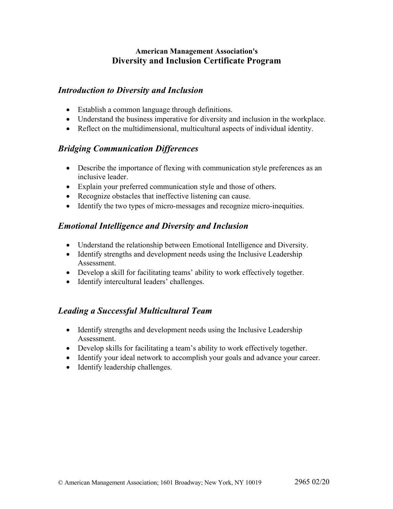## **American Management Association's Diversity and Inclusion Certificate Program**

## *Introduction to Diversity and Inclusion*

- Establish a common language through definitions.
- Understand the business imperative for diversity and inclusion in the workplace.
- Reflect on the multidimensional, multicultural aspects of individual identity.

# *Bridging Communication Differences*

- Describe the importance of flexing with communication style preferences as an inclusive leader.
- Explain your preferred communication style and those of others.
- Recognize obstacles that ineffective listening can cause.
- Identify the two types of micro-messages and recognize micro-inequities.

# *Emotional Intelligence and Diversity and Inclusion*

- Understand the relationship between Emotional Intelligence and Diversity.
- Identify strengths and development needs using the Inclusive Leadership Assessment.
- Develop a skill for facilitating teams' ability to work effectively together.
- Identify intercultural leaders' challenges.

## *Leading a Successful Multicultural Team*

- Identify strengths and development needs using the Inclusive Leadership Assessment.
- Develop skills for facilitating a team's ability to work effectively together.
- Identify your ideal network to accomplish your goals and advance your career.
- Identify leadership challenges.